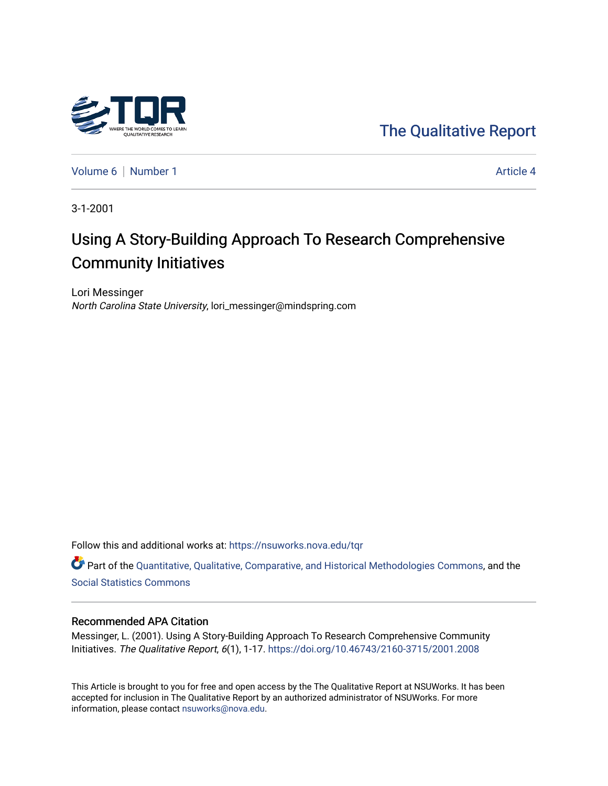

[The Qualitative Report](https://nsuworks.nova.edu/tqr) 

[Volume 6](https://nsuworks.nova.edu/tqr/vol6) | [Number 1](https://nsuworks.nova.edu/tqr/vol6/iss1) Article 4

3-1-2001

# Using A Story-Building Approach To Research Comprehensive Community Initiatives

Lori Messinger North Carolina State University, lori\_messinger@mindspring.com

Follow this and additional works at: [https://nsuworks.nova.edu/tqr](https://nsuworks.nova.edu/tqr?utm_source=nsuworks.nova.edu%2Ftqr%2Fvol6%2Fiss1%2F4&utm_medium=PDF&utm_campaign=PDFCoverPages) 

Part of the [Quantitative, Qualitative, Comparative, and Historical Methodologies Commons,](http://network.bepress.com/hgg/discipline/423?utm_source=nsuworks.nova.edu%2Ftqr%2Fvol6%2Fiss1%2F4&utm_medium=PDF&utm_campaign=PDFCoverPages) and the [Social Statistics Commons](http://network.bepress.com/hgg/discipline/1275?utm_source=nsuworks.nova.edu%2Ftqr%2Fvol6%2Fiss1%2F4&utm_medium=PDF&utm_campaign=PDFCoverPages) 

#### Recommended APA Citation

Messinger, L. (2001). Using A Story-Building Approach To Research Comprehensive Community Initiatives. The Qualitative Report, 6(1), 1-17.<https://doi.org/10.46743/2160-3715/2001.2008>

This Article is brought to you for free and open access by the The Qualitative Report at NSUWorks. It has been accepted for inclusion in The Qualitative Report by an authorized administrator of NSUWorks. For more information, please contact [nsuworks@nova.edu.](mailto:nsuworks@nova.edu)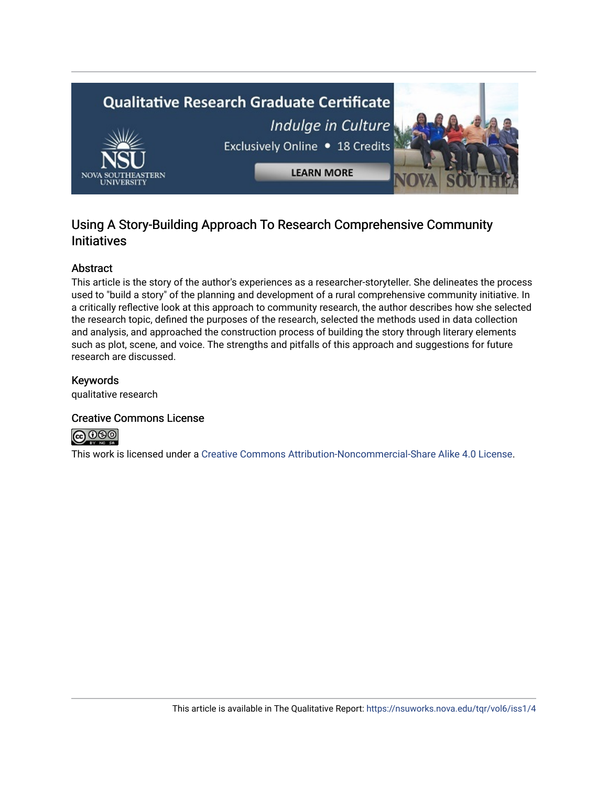

## Using A Story-Building Approach To Research Comprehensive Community **Initiatives**

#### Abstract

This article is the story of the author's experiences as a researcher-storyteller. She delineates the process used to "build a story" of the planning and development of a rural comprehensive community initiative. In a critically reflective look at this approach to community research, the author describes how she selected the research topic, defined the purposes of the research, selected the methods used in data collection and analysis, and approached the construction process of building the story through literary elements such as plot, scene, and voice. The strengths and pitfalls of this approach and suggestions for future research are discussed.

#### Keywords

qualitative research

#### Creative Commons License



This work is licensed under a [Creative Commons Attribution-Noncommercial-Share Alike 4.0 License](https://creativecommons.org/licenses/by-nc-sa/4.0/).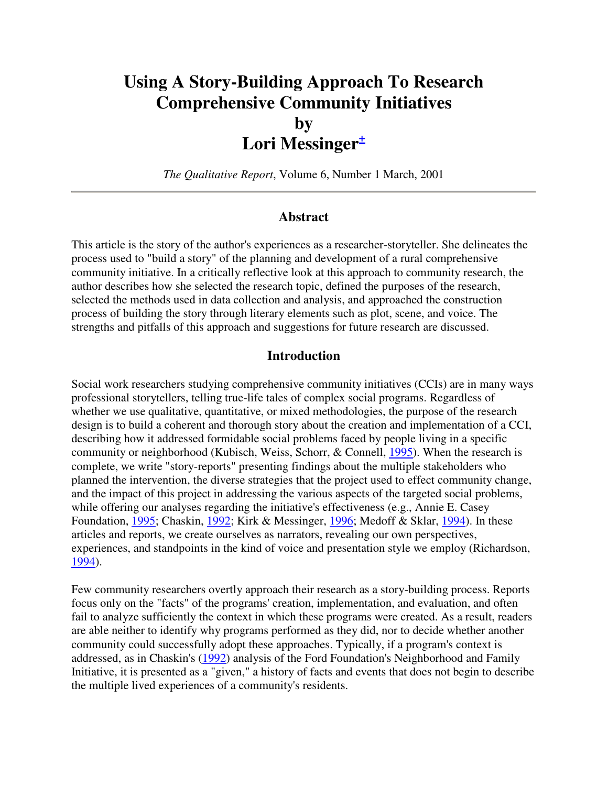# **Using A Story-Building Approach To Research Comprehensive Community Initiatives by Lori Messinger<sup>+</sup>**

*The Qualitative Report*, Volume 6, Number 1 March, 2001

#### **Abstract**

This article is the story of the author's experiences as a researcher-storyteller. She delineates the process used to "build a story" of the planning and development of a rural comprehensive community initiative. In a critically reflective look at this approach to community research, the author describes how she selected the research topic, defined the purposes of the research, selected the methods used in data collection and analysis, and approached the construction process of building the story through literary elements such as plot, scene, and voice. The strengths and pitfalls of this approach and suggestions for future research are discussed.

#### **Introduction**

Social work researchers studying comprehensive community initiatives (CCIs) are in many ways professional storytellers, telling true-life tales of complex social programs. Regardless of whether we use qualitative, quantitative, or mixed methodologies, the purpose of the research design is to build a coherent and thorough story about the creation and implementation of a CCI, describing how it addressed formidable social problems faced by people living in a specific community or neighborhood (Kubisch, Weiss, Schorr, & Connell, 1995). When the research is complete, we write "story-reports" presenting findings about the multiple stakeholders who planned the intervention, the diverse strategies that the project used to effect community change, and the impact of this project in addressing the various aspects of the targeted social problems, while offering our analyses regarding the initiative's effectiveness (e.g., Annie E. Casey Foundation, 1995; Chaskin, 1992; Kirk & Messinger, 1996; Medoff & Sklar, 1994). In these articles and reports, we create ourselves as narrators, revealing our own perspectives, experiences, and standpoints in the kind of voice and presentation style we employ (Richardson, 1994).

Few community researchers overtly approach their research as a story-building process. Reports focus only on the "facts" of the programs' creation, implementation, and evaluation, and often fail to analyze sufficiently the context in which these programs were created. As a result, readers are able neither to identify why programs performed as they did, nor to decide whether another community could successfully adopt these approaches. Typically, if a program's context is addressed, as in Chaskin's (1992) analysis of the Ford Foundation's Neighborhood and Family Initiative, it is presented as a "given," a history of facts and events that does not begin to describe the multiple lived experiences of a community's residents.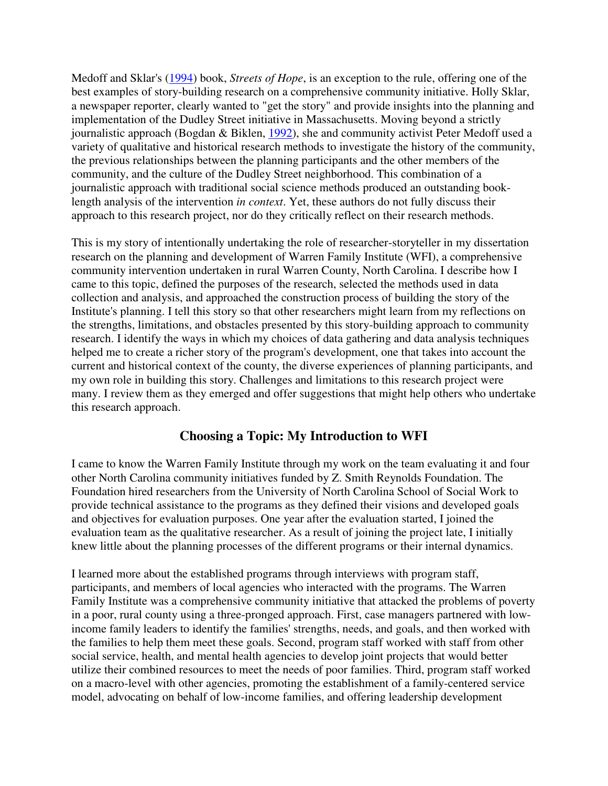Medoff and Sklar's (1994) book, *Streets of Hope*, is an exception to the rule, offering one of the best examples of story-building research on a comprehensive community initiative. Holly Sklar, a newspaper reporter, clearly wanted to "get the story" and provide insights into the planning and implementation of the Dudley Street initiative in Massachusetts. Moving beyond a strictly journalistic approach (Bogdan & Biklen, 1992), she and community activist Peter Medoff used a variety of qualitative and historical research methods to investigate the history of the community, the previous relationships between the planning participants and the other members of the community, and the culture of the Dudley Street neighborhood. This combination of a journalistic approach with traditional social science methods produced an outstanding booklength analysis of the intervention *in context*. Yet, these authors do not fully discuss their approach to this research project, nor do they critically reflect on their research methods.

This is my story of intentionally undertaking the role of researcher-storyteller in my dissertation research on the planning and development of Warren Family Institute (WFI), a comprehensive community intervention undertaken in rural Warren County, North Carolina. I describe how I came to this topic, defined the purposes of the research, selected the methods used in data collection and analysis, and approached the construction process of building the story of the Institute's planning. I tell this story so that other researchers might learn from my reflections on the strengths, limitations, and obstacles presented by this story-building approach to community research. I identify the ways in which my choices of data gathering and data analysis techniques helped me to create a richer story of the program's development, one that takes into account the current and historical context of the county, the diverse experiences of planning participants, and my own role in building this story. Challenges and limitations to this research project were many. I review them as they emerged and offer suggestions that might help others who undertake this research approach.

#### **Choosing a Topic: My Introduction to WFI**

I came to know the Warren Family Institute through my work on the team evaluating it and four other North Carolina community initiatives funded by Z. Smith Reynolds Foundation. The Foundation hired researchers from the University of North Carolina School of Social Work to provide technical assistance to the programs as they defined their visions and developed goals and objectives for evaluation purposes. One year after the evaluation started, I joined the evaluation team as the qualitative researcher. As a result of joining the project late, I initially knew little about the planning processes of the different programs or their internal dynamics.

I learned more about the established programs through interviews with program staff, participants, and members of local agencies who interacted with the programs. The Warren Family Institute was a comprehensive community initiative that attacked the problems of poverty in a poor, rural county using a three-pronged approach. First, case managers partnered with lowincome family leaders to identify the families' strengths, needs, and goals, and then worked with the families to help them meet these goals. Second, program staff worked with staff from other social service, health, and mental health agencies to develop joint projects that would better utilize their combined resources to meet the needs of poor families. Third, program staff worked on a macro-level with other agencies, promoting the establishment of a family-centered service model, advocating on behalf of low-income families, and offering leadership development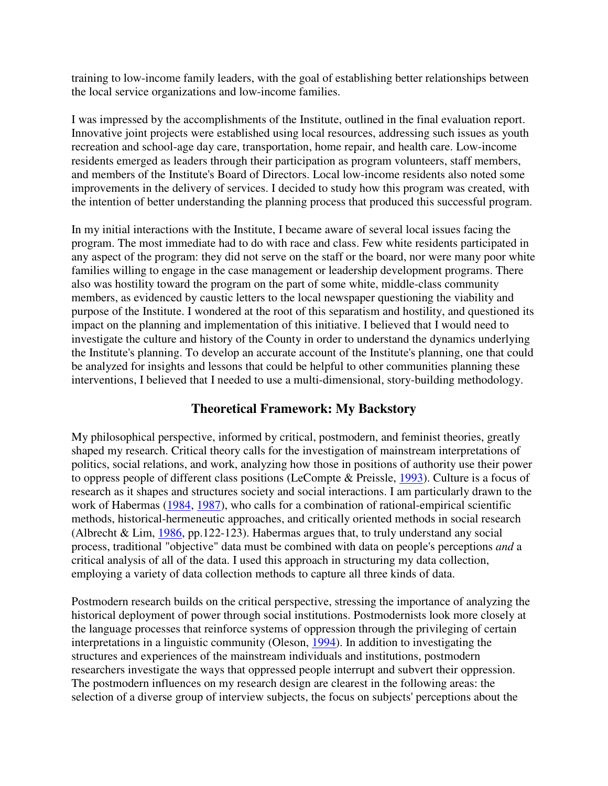training to low-income family leaders, with the goal of establishing better relationships between the local service organizations and low-income families.

I was impressed by the accomplishments of the Institute, outlined in the final evaluation report. Innovative joint projects were established using local resources, addressing such issues as youth recreation and school-age day care, transportation, home repair, and health care. Low-income residents emerged as leaders through their participation as program volunteers, staff members, and members of the Institute's Board of Directors. Local low-income residents also noted some improvements in the delivery of services. I decided to study how this program was created, with the intention of better understanding the planning process that produced this successful program.

In my initial interactions with the Institute, I became aware of several local issues facing the program. The most immediate had to do with race and class. Few white residents participated in any aspect of the program: they did not serve on the staff or the board, nor were many poor white families willing to engage in the case management or leadership development programs. There also was hostility toward the program on the part of some white, middle-class community members, as evidenced by caustic letters to the local newspaper questioning the viability and purpose of the Institute. I wondered at the root of this separatism and hostility, and questioned its impact on the planning and implementation of this initiative. I believed that I would need to investigate the culture and history of the County in order to understand the dynamics underlying the Institute's planning. To develop an accurate account of the Institute's planning, one that could be analyzed for insights and lessons that could be helpful to other communities planning these interventions, I believed that I needed to use a multi-dimensional, story-building methodology.

#### **Theoretical Framework: My Backstory**

My philosophical perspective, informed by critical, postmodern, and feminist theories, greatly shaped my research. Critical theory calls for the investigation of mainstream interpretations of politics, social relations, and work, analyzing how those in positions of authority use their power to oppress people of different class positions (LeCompte & Preissle, 1993). Culture is a focus of research as it shapes and structures society and social interactions. I am particularly drawn to the work of Habermas (1984, 1987), who calls for a combination of rational-empirical scientific methods, historical-hermeneutic approaches, and critically oriented methods in social research (Albrecht & Lim, 1986, pp.122-123). Habermas argues that, to truly understand any social process, traditional "objective" data must be combined with data on people's perceptions *and* a critical analysis of all of the data. I used this approach in structuring my data collection, employing a variety of data collection methods to capture all three kinds of data.

Postmodern research builds on the critical perspective, stressing the importance of analyzing the historical deployment of power through social institutions. Postmodernists look more closely at the language processes that reinforce systems of oppression through the privileging of certain interpretations in a linguistic community (Oleson, 1994). In addition to investigating the structures and experiences of the mainstream individuals and institutions, postmodern researchers investigate the ways that oppressed people interrupt and subvert their oppression. The postmodern influences on my research design are clearest in the following areas: the selection of a diverse group of interview subjects, the focus on subjects' perceptions about the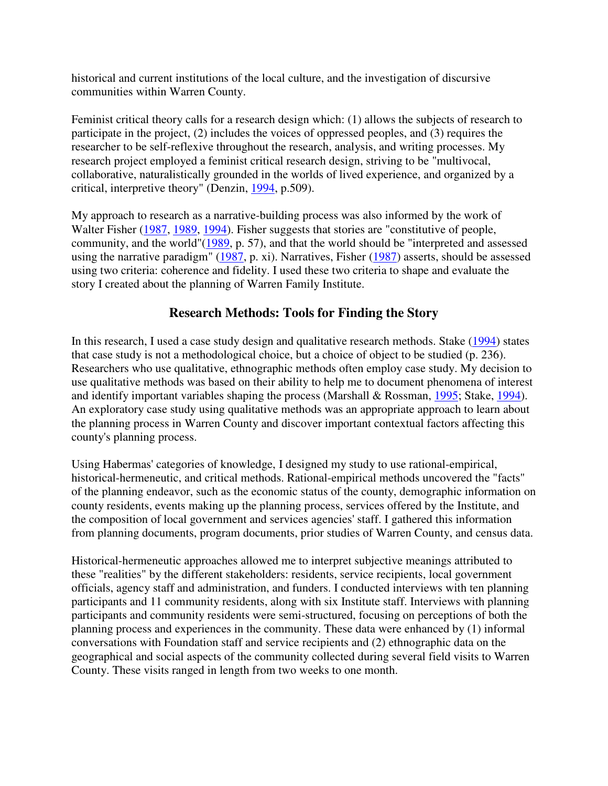historical and current institutions of the local culture, and the investigation of discursive communities within Warren County.

Feminist critical theory calls for a research design which: (1) allows the subjects of research to participate in the project, (2) includes the voices of oppressed peoples, and (3) requires the researcher to be self-reflexive throughout the research, analysis, and writing processes. My research project employed a feminist critical research design, striving to be "multivocal, collaborative, naturalistically grounded in the worlds of lived experience, and organized by a critical, interpretive theory" (Denzin, 1994, p.509).

My approach to research as a narrative-building process was also informed by the work of Walter Fisher (1987, 1989, 1994). Fisher suggests that stories are "constitutive of people, community, and the world"(1989, p. 57), and that the world should be "interpreted and assessed using the narrative paradigm" (1987, p. xi). Narratives, Fisher (1987) asserts, should be assessed using two criteria: coherence and fidelity. I used these two criteria to shape and evaluate the story I created about the planning of Warren Family Institute.

## **Research Methods: Tools for Finding the Story**

In this research, I used a case study design and qualitative research methods. Stake (1994) states that case study is not a methodological choice, but a choice of object to be studied (p. 236). Researchers who use qualitative, ethnographic methods often employ case study. My decision to use qualitative methods was based on their ability to help me to document phenomena of interest and identify important variables shaping the process (Marshall & Rossman, 1995; Stake, 1994). An exploratory case study using qualitative methods was an appropriate approach to learn about the planning process in Warren County and discover important contextual factors affecting this county's planning process.

Using Habermas' categories of knowledge, I designed my study to use rational-empirical, historical-hermeneutic, and critical methods. Rational-empirical methods uncovered the "facts" of the planning endeavor, such as the economic status of the county, demographic information on county residents, events making up the planning process, services offered by the Institute, and the composition of local government and services agencies' staff. I gathered this information from planning documents, program documents, prior studies of Warren County, and census data.

Historical-hermeneutic approaches allowed me to interpret subjective meanings attributed to these "realities" by the different stakeholders: residents, service recipients, local government officials, agency staff and administration, and funders. I conducted interviews with ten planning participants and 11 community residents, along with six Institute staff. Interviews with planning participants and community residents were semi-structured, focusing on perceptions of both the planning process and experiences in the community. These data were enhanced by (1) informal conversations with Foundation staff and service recipients and (2) ethnographic data on the geographical and social aspects of the community collected during several field visits to Warren County. These visits ranged in length from two weeks to one month.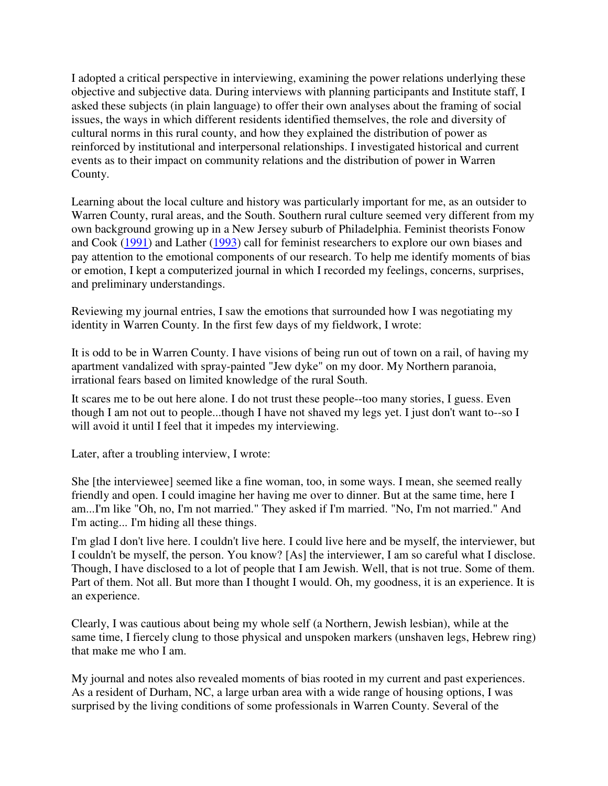I adopted a critical perspective in interviewing, examining the power relations underlying these objective and subjective data. During interviews with planning participants and Institute staff, I asked these subjects (in plain language) to offer their own analyses about the framing of social issues, the ways in which different residents identified themselves, the role and diversity of cultural norms in this rural county, and how they explained the distribution of power as reinforced by institutional and interpersonal relationships. I investigated historical and current events as to their impact on community relations and the distribution of power in Warren County.

Learning about the local culture and history was particularly important for me, as an outsider to Warren County, rural areas, and the South. Southern rural culture seemed very different from my own background growing up in a New Jersey suburb of Philadelphia. Feminist theorists Fonow and Cook (1991) and Lather (1993) call for feminist researchers to explore our own biases and pay attention to the emotional components of our research. To help me identify moments of bias or emotion, I kept a computerized journal in which I recorded my feelings, concerns, surprises, and preliminary understandings.

Reviewing my journal entries, I saw the emotions that surrounded how I was negotiating my identity in Warren County. In the first few days of my fieldwork, I wrote:

It is odd to be in Warren County. I have visions of being run out of town on a rail, of having my apartment vandalized with spray-painted "Jew dyke" on my door. My Northern paranoia, irrational fears based on limited knowledge of the rural South.

It scares me to be out here alone. I do not trust these people--too many stories, I guess. Even though I am not out to people...though I have not shaved my legs yet. I just don't want to--so I will avoid it until I feel that it impedes my interviewing.

Later, after a troubling interview, I wrote:

She [the interviewee] seemed like a fine woman, too, in some ways. I mean, she seemed really friendly and open. I could imagine her having me over to dinner. But at the same time, here I am...I'm like "Oh, no, I'm not married." They asked if I'm married. "No, I'm not married." And I'm acting... I'm hiding all these things.

I'm glad I don't live here. I couldn't live here. I could live here and be myself, the interviewer, but I couldn't be myself, the person. You know? [As] the interviewer, I am so careful what I disclose. Though, I have disclosed to a lot of people that I am Jewish. Well, that is not true. Some of them. Part of them. Not all. But more than I thought I would. Oh, my goodness, it is an experience. It is an experience.

Clearly, I was cautious about being my whole self (a Northern, Jewish lesbian), while at the same time, I fiercely clung to those physical and unspoken markers (unshaven legs, Hebrew ring) that make me who I am.

My journal and notes also revealed moments of bias rooted in my current and past experiences. As a resident of Durham, NC, a large urban area with a wide range of housing options, I was surprised by the living conditions of some professionals in Warren County. Several of the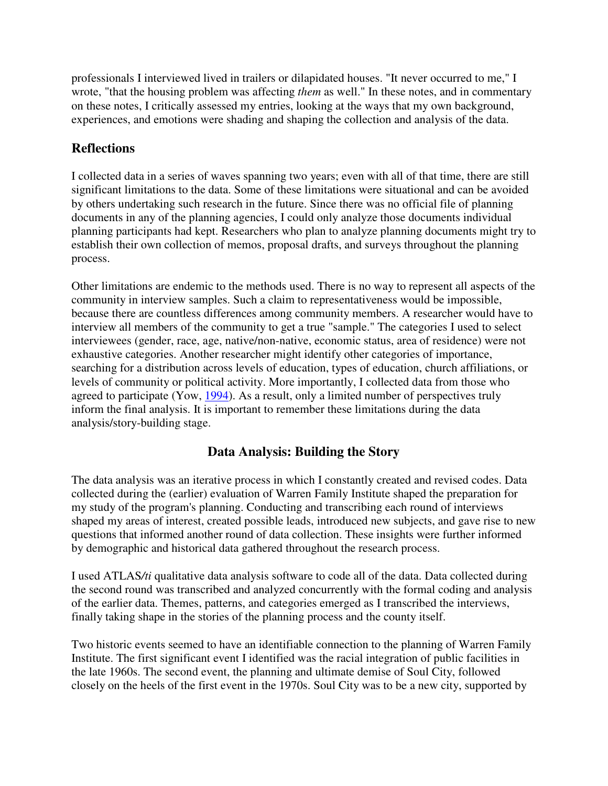professionals I interviewed lived in trailers or dilapidated houses. "It never occurred to me," I wrote, "that the housing problem was affecting *them* as well." In these notes, and in commentary on these notes, I critically assessed my entries, looking at the ways that my own background, experiences, and emotions were shading and shaping the collection and analysis of the data.

## **Reflections**

I collected data in a series of waves spanning two years; even with all of that time, there are still significant limitations to the data. Some of these limitations were situational and can be avoided by others undertaking such research in the future. Since there was no official file of planning documents in any of the planning agencies, I could only analyze those documents individual planning participants had kept. Researchers who plan to analyze planning documents might try to establish their own collection of memos, proposal drafts, and surveys throughout the planning process.

Other limitations are endemic to the methods used. There is no way to represent all aspects of the community in interview samples. Such a claim to representativeness would be impossible, because there are countless differences among community members. A researcher would have to interview all members of the community to get a true "sample." The categories I used to select interviewees (gender, race, age, native/non-native, economic status, area of residence) were not exhaustive categories. Another researcher might identify other categories of importance, searching for a distribution across levels of education, types of education, church affiliations, or levels of community or political activity. More importantly, I collected data from those who agreed to participate (Yow, 1994). As a result, only a limited number of perspectives truly inform the final analysis. It is important to remember these limitations during the data analysis/story-building stage.

## **Data Analysis: Building the Story**

The data analysis was an iterative process in which I constantly created and revised codes. Data collected during the (earlier) evaluation of Warren Family Institute shaped the preparation for my study of the program's planning. Conducting and transcribing each round of interviews shaped my areas of interest, created possible leads, introduced new subjects, and gave rise to new questions that informed another round of data collection. These insights were further informed by demographic and historical data gathered throughout the research process.

I used ATLAS*/ti* qualitative data analysis software to code all of the data. Data collected during the second round was transcribed and analyzed concurrently with the formal coding and analysis of the earlier data. Themes, patterns, and categories emerged as I transcribed the interviews, finally taking shape in the stories of the planning process and the county itself.

Two historic events seemed to have an identifiable connection to the planning of Warren Family Institute. The first significant event I identified was the racial integration of public facilities in the late 1960s. The second event, the planning and ultimate demise of Soul City, followed closely on the heels of the first event in the 1970s. Soul City was to be a new city, supported by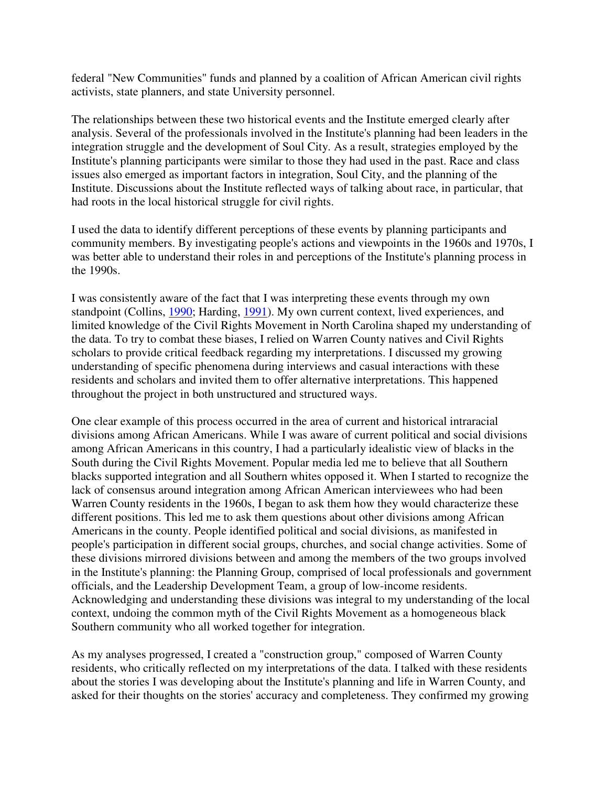federal "New Communities" funds and planned by a coalition of African American civil rights activists, state planners, and state University personnel.

The relationships between these two historical events and the Institute emerged clearly after analysis. Several of the professionals involved in the Institute's planning had been leaders in the integration struggle and the development of Soul City. As a result, strategies employed by the Institute's planning participants were similar to those they had used in the past. Race and class issues also emerged as important factors in integration, Soul City, and the planning of the Institute. Discussions about the Institute reflected ways of talking about race, in particular, that had roots in the local historical struggle for civil rights.

I used the data to identify different perceptions of these events by planning participants and community members. By investigating people's actions and viewpoints in the 1960s and 1970s, I was better able to understand their roles in and perceptions of the Institute's planning process in the 1990s.

I was consistently aware of the fact that I was interpreting these events through my own standpoint (Collins, 1990; Harding, 1991). My own current context, lived experiences, and limited knowledge of the Civil Rights Movement in North Carolina shaped my understanding of the data. To try to combat these biases, I relied on Warren County natives and Civil Rights scholars to provide critical feedback regarding my interpretations. I discussed my growing understanding of specific phenomena during interviews and casual interactions with these residents and scholars and invited them to offer alternative interpretations. This happened throughout the project in both unstructured and structured ways.

One clear example of this process occurred in the area of current and historical intraracial divisions among African Americans. While I was aware of current political and social divisions among African Americans in this country, I had a particularly idealistic view of blacks in the South during the Civil Rights Movement. Popular media led me to believe that all Southern blacks supported integration and all Southern whites opposed it. When I started to recognize the lack of consensus around integration among African American interviewees who had been Warren County residents in the 1960s, I began to ask them how they would characterize these different positions. This led me to ask them questions about other divisions among African Americans in the county. People identified political and social divisions, as manifested in people's participation in different social groups, churches, and social change activities. Some of these divisions mirrored divisions between and among the members of the two groups involved in the Institute's planning: the Planning Group, comprised of local professionals and government officials, and the Leadership Development Team, a group of low-income residents. Acknowledging and understanding these divisions was integral to my understanding of the local context, undoing the common myth of the Civil Rights Movement as a homogeneous black Southern community who all worked together for integration.

As my analyses progressed, I created a "construction group," composed of Warren County residents, who critically reflected on my interpretations of the data. I talked with these residents about the stories I was developing about the Institute's planning and life in Warren County, and asked for their thoughts on the stories' accuracy and completeness. They confirmed my growing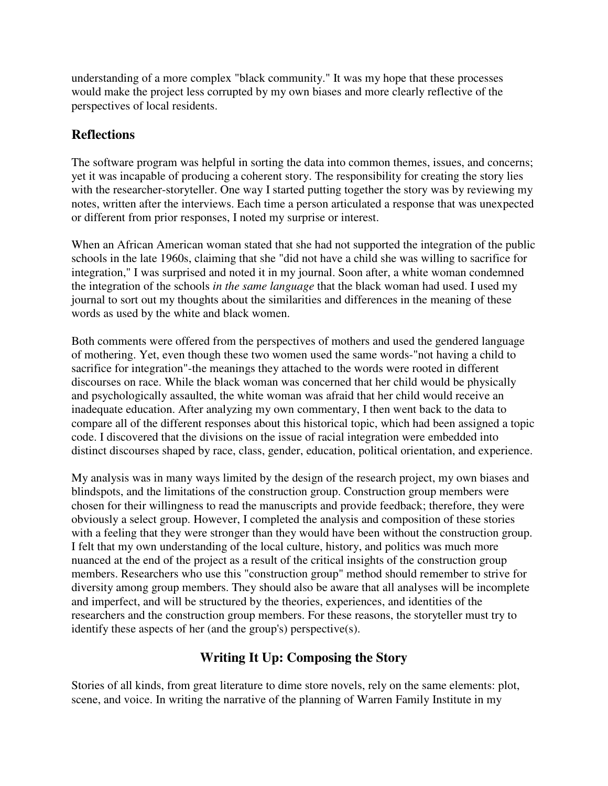understanding of a more complex "black community." It was my hope that these processes would make the project less corrupted by my own biases and more clearly reflective of the perspectives of local residents.

#### **Reflections**

The software program was helpful in sorting the data into common themes, issues, and concerns; yet it was incapable of producing a coherent story. The responsibility for creating the story lies with the researcher-storyteller. One way I started putting together the story was by reviewing my notes, written after the interviews. Each time a person articulated a response that was unexpected or different from prior responses, I noted my surprise or interest.

When an African American woman stated that she had not supported the integration of the public schools in the late 1960s, claiming that she "did not have a child she was willing to sacrifice for integration," I was surprised and noted it in my journal. Soon after, a white woman condemned the integration of the schools *in the same language* that the black woman had used. I used my journal to sort out my thoughts about the similarities and differences in the meaning of these words as used by the white and black women.

Both comments were offered from the perspectives of mothers and used the gendered language of mothering. Yet, even though these two women used the same words-"not having a child to sacrifice for integration"-the meanings they attached to the words were rooted in different discourses on race. While the black woman was concerned that her child would be physically and psychologically assaulted, the white woman was afraid that her child would receive an inadequate education. After analyzing my own commentary, I then went back to the data to compare all of the different responses about this historical topic, which had been assigned a topic code. I discovered that the divisions on the issue of racial integration were embedded into distinct discourses shaped by race, class, gender, education, political orientation, and experience.

My analysis was in many ways limited by the design of the research project, my own biases and blindspots, and the limitations of the construction group. Construction group members were chosen for their willingness to read the manuscripts and provide feedback; therefore, they were obviously a select group. However, I completed the analysis and composition of these stories with a feeling that they were stronger than they would have been without the construction group. I felt that my own understanding of the local culture, history, and politics was much more nuanced at the end of the project as a result of the critical insights of the construction group members. Researchers who use this "construction group" method should remember to strive for diversity among group members. They should also be aware that all analyses will be incomplete and imperfect, and will be structured by the theories, experiences, and identities of the researchers and the construction group members. For these reasons, the storyteller must try to identify these aspects of her (and the group's) perspective(s).

## **Writing It Up: Composing the Story**

Stories of all kinds, from great literature to dime store novels, rely on the same elements: plot, scene, and voice. In writing the narrative of the planning of Warren Family Institute in my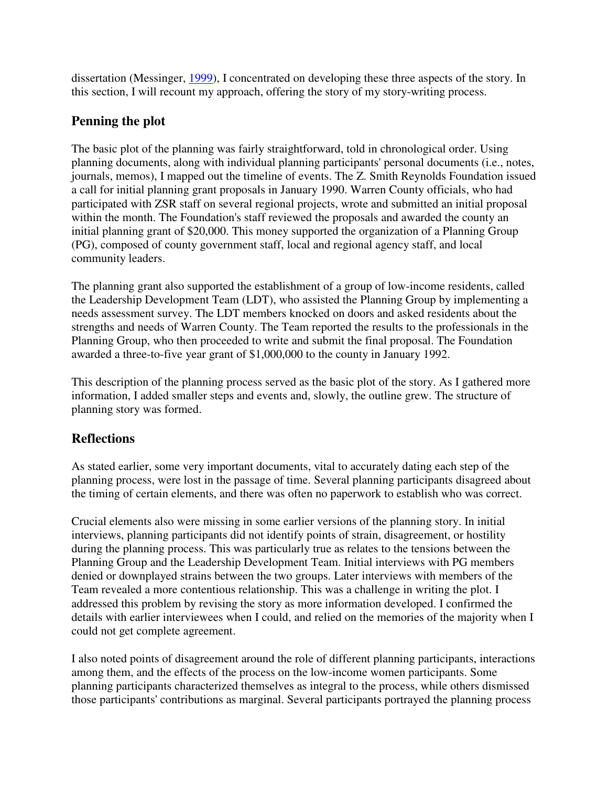dissertation (Messinger, 1999), I concentrated on developing these three aspects of the story. In this section, I will recount my approach, offering the story of my story-writing process.

## **Penning the plot**

The basic plot of the planning was fairly straightforward, told in chronological order. Using planning documents, along with individual planning participants' personal documents (i.e., notes, journals, memos), I mapped out the timeline of events. The Z. Smith Reynolds Foundation issued a call for initial planning grant proposals in January 1990. Warren County officials, who had participated with ZSR staff on several regional projects, wrote and submitted an initial proposal within the month. The Foundation's staff reviewed the proposals and awarded the county an initial planning grant of \$20,000. This money supported the organization of a Planning Group (PG), composed of county government staff, local and regional agency staff, and local community leaders.

The planning grant also supported the establishment of a group of low-income residents, called the Leadership Development Team (LDT), who assisted the Planning Group by implementing a needs assessment survey. The LDT members knocked on doors and asked residents about the strengths and needs of Warren County. The Team reported the results to the professionals in the Planning Group, who then proceeded to write and submit the final proposal. The Foundation awarded a three-to-five year grant of \$1,000,000 to the county in January 1992.

This description of the planning process served as the basic plot of the story. As I gathered more information, I added smaller steps and events and, slowly, the outline grew. The structure of planning story was formed.

# **Reflections**

As stated earlier, some very important documents, vital to accurately dating each step of the planning process, were lost in the passage of time. Several planning participants disagreed about the timing of certain elements, and there was often no paperwork to establish who was correct.

Crucial elements also were missing in some earlier versions of the planning story. In initial interviews, planning participants did not identify points of strain, disagreement, or hostility during the planning process. This was particularly true as relates to the tensions between the Planning Group and the Leadership Development Team. Initial interviews with PG members denied or downplayed strains between the two groups. Later interviews with members of the Team revealed a more contentious relationship. This was a challenge in writing the plot. I addressed this problem by revising the story as more information developed. I confirmed the details with earlier interviewees when I could, and relied on the memories of the majority when I could not get complete agreement.

I also noted points of disagreement around the role of different planning participants, interactions among them, and the effects of the process on the low-income women participants. Some planning participants characterized themselves as integral to the process, while others dismissed those participants' contributions as marginal. Several participants portrayed the planning process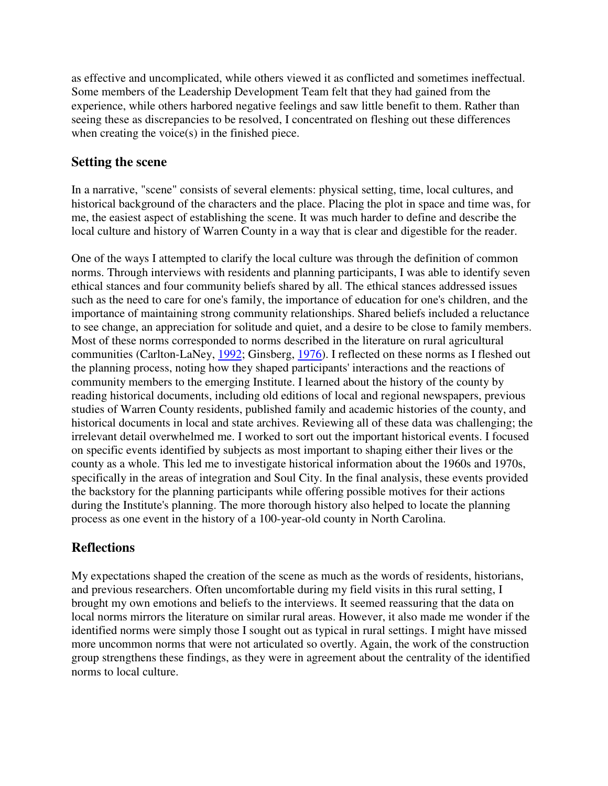as effective and uncomplicated, while others viewed it as conflicted and sometimes ineffectual. Some members of the Leadership Development Team felt that they had gained from the experience, while others harbored negative feelings and saw little benefit to them. Rather than seeing these as discrepancies to be resolved, I concentrated on fleshing out these differences when creating the voice(s) in the finished piece.

#### **Setting the scene**

In a narrative, "scene" consists of several elements: physical setting, time, local cultures, and historical background of the characters and the place. Placing the plot in space and time was, for me, the easiest aspect of establishing the scene. It was much harder to define and describe the local culture and history of Warren County in a way that is clear and digestible for the reader.

One of the ways I attempted to clarify the local culture was through the definition of common norms. Through interviews with residents and planning participants, I was able to identify seven ethical stances and four community beliefs shared by all. The ethical stances addressed issues such as the need to care for one's family, the importance of education for one's children, and the importance of maintaining strong community relationships. Shared beliefs included a reluctance to see change, an appreciation for solitude and quiet, and a desire to be close to family members. Most of these norms corresponded to norms described in the literature on rural agricultural communities (Carlton-LaNey, 1992; Ginsberg, 1976). I reflected on these norms as I fleshed out the planning process, noting how they shaped participants' interactions and the reactions of community members to the emerging Institute. I learned about the history of the county by reading historical documents, including old editions of local and regional newspapers, previous studies of Warren County residents, published family and academic histories of the county, and historical documents in local and state archives. Reviewing all of these data was challenging; the irrelevant detail overwhelmed me. I worked to sort out the important historical events. I focused on specific events identified by subjects as most important to shaping either their lives or the county as a whole. This led me to investigate historical information about the 1960s and 1970s, specifically in the areas of integration and Soul City. In the final analysis, these events provided the backstory for the planning participants while offering possible motives for their actions during the Institute's planning. The more thorough history also helped to locate the planning process as one event in the history of a 100-year-old county in North Carolina.

## **Reflections**

My expectations shaped the creation of the scene as much as the words of residents, historians, and previous researchers. Often uncomfortable during my field visits in this rural setting, I brought my own emotions and beliefs to the interviews. It seemed reassuring that the data on local norms mirrors the literature on similar rural areas. However, it also made me wonder if the identified norms were simply those I sought out as typical in rural settings. I might have missed more uncommon norms that were not articulated so overtly. Again, the work of the construction group strengthens these findings, as they were in agreement about the centrality of the identified norms to local culture.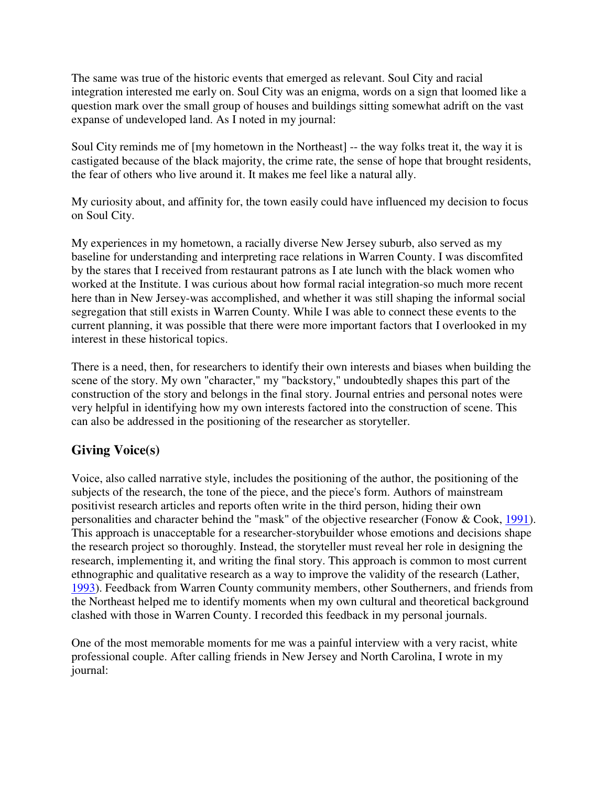The same was true of the historic events that emerged as relevant. Soul City and racial integration interested me early on. Soul City was an enigma, words on a sign that loomed like a question mark over the small group of houses and buildings sitting somewhat adrift on the vast expanse of undeveloped land. As I noted in my journal:

Soul City reminds me of [my hometown in the Northeast] -- the way folks treat it, the way it is castigated because of the black majority, the crime rate, the sense of hope that brought residents, the fear of others who live around it. It makes me feel like a natural ally.

My curiosity about, and affinity for, the town easily could have influenced my decision to focus on Soul City.

My experiences in my hometown, a racially diverse New Jersey suburb, also served as my baseline for understanding and interpreting race relations in Warren County. I was discomfited by the stares that I received from restaurant patrons as I ate lunch with the black women who worked at the Institute. I was curious about how formal racial integration-so much more recent here than in New Jersey-was accomplished, and whether it was still shaping the informal social segregation that still exists in Warren County. While I was able to connect these events to the current planning, it was possible that there were more important factors that I overlooked in my interest in these historical topics.

There is a need, then, for researchers to identify their own interests and biases when building the scene of the story. My own "character," my "backstory," undoubtedly shapes this part of the construction of the story and belongs in the final story. Journal entries and personal notes were very helpful in identifying how my own interests factored into the construction of scene. This can also be addressed in the positioning of the researcher as storyteller.

## **Giving Voice(s)**

Voice, also called narrative style, includes the positioning of the author, the positioning of the subjects of the research, the tone of the piece, and the piece's form. Authors of mainstream positivist research articles and reports often write in the third person, hiding their own personalities and character behind the "mask" of the objective researcher (Fonow & Cook, 1991). This approach is unacceptable for a researcher-storybuilder whose emotions and decisions shape the research project so thoroughly. Instead, the storyteller must reveal her role in designing the research, implementing it, and writing the final story. This approach is common to most current ethnographic and qualitative research as a way to improve the validity of the research (Lather, 1993). Feedback from Warren County community members, other Southerners, and friends from the Northeast helped me to identify moments when my own cultural and theoretical background clashed with those in Warren County. I recorded this feedback in my personal journals.

One of the most memorable moments for me was a painful interview with a very racist, white professional couple. After calling friends in New Jersey and North Carolina, I wrote in my journal: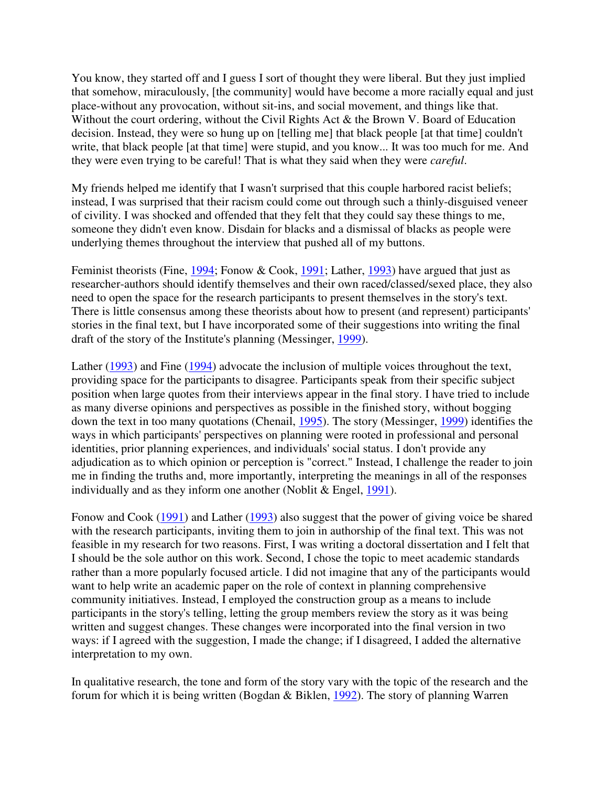You know, they started off and I guess I sort of thought they were liberal. But they just implied that somehow, miraculously, [the community] would have become a more racially equal and just place-without any provocation, without sit-ins, and social movement, and things like that. Without the court ordering, without the Civil Rights Act & the Brown V. Board of Education decision. Instead, they were so hung up on [telling me] that black people [at that time] couldn't write, that black people [at that time] were stupid, and you know... It was too much for me. And they were even trying to be careful! That is what they said when they were *careful*.

My friends helped me identify that I wasn't surprised that this couple harbored racist beliefs; instead, I was surprised that their racism could come out through such a thinly-disguised veneer of civility. I was shocked and offended that they felt that they could say these things to me, someone they didn't even know. Disdain for blacks and a dismissal of blacks as people were underlying themes throughout the interview that pushed all of my buttons.

Feminist theorists (Fine, 1994; Fonow & Cook, 1991; Lather, 1993) have argued that just as researcher-authors should identify themselves and their own raced/classed/sexed place, they also need to open the space for the research participants to present themselves in the story's text. There is little consensus among these theorists about how to present (and represent) participants' stories in the final text, but I have incorporated some of their suggestions into writing the final draft of the story of the Institute's planning (Messinger, 1999).

Lather (1993) and Fine (1994) advocate the inclusion of multiple voices throughout the text, providing space for the participants to disagree. Participants speak from their specific subject position when large quotes from their interviews appear in the final story. I have tried to include as many diverse opinions and perspectives as possible in the finished story, without bogging down the text in too many quotations (Chenail, 1995). The story (Messinger, 1999) identifies the ways in which participants' perspectives on planning were rooted in professional and personal identities, prior planning experiences, and individuals' social status. I don't provide any adjudication as to which opinion or perception is "correct." Instead, I challenge the reader to join me in finding the truths and, more importantly, interpreting the meanings in all of the responses individually and as they inform one another (Noblit & Engel, 1991).

Fonow and Cook (1991) and Lather (1993) also suggest that the power of giving voice be shared with the research participants, inviting them to join in authorship of the final text. This was not feasible in my research for two reasons. First, I was writing a doctoral dissertation and I felt that I should be the sole author on this work. Second, I chose the topic to meet academic standards rather than a more popularly focused article. I did not imagine that any of the participants would want to help write an academic paper on the role of context in planning comprehensive community initiatives. Instead, I employed the construction group as a means to include participants in the story's telling, letting the group members review the story as it was being written and suggest changes. These changes were incorporated into the final version in two ways: if I agreed with the suggestion, I made the change; if I disagreed, I added the alternative interpretation to my own.

In qualitative research, the tone and form of the story vary with the topic of the research and the forum for which it is being written (Bogdan & Biklen, 1992). The story of planning Warren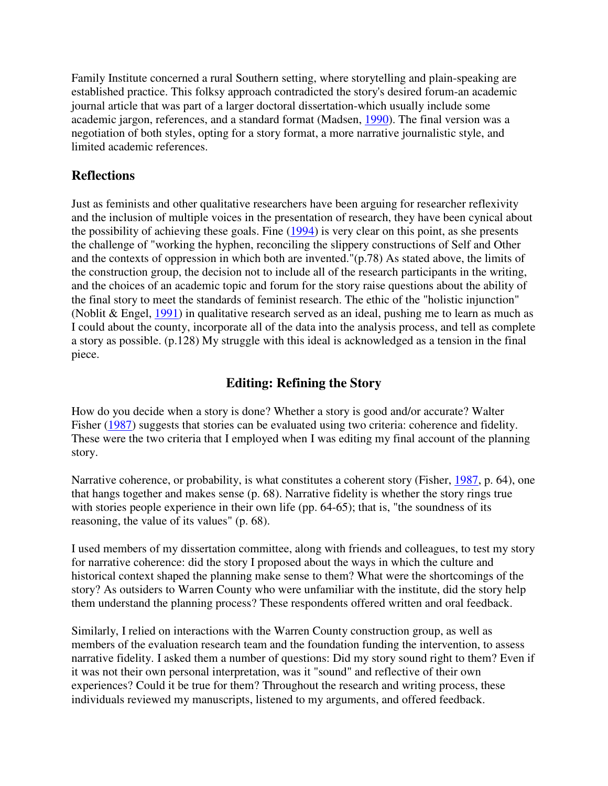Family Institute concerned a rural Southern setting, where storytelling and plain-speaking are established practice. This folksy approach contradicted the story's desired forum-an academic journal article that was part of a larger doctoral dissertation-which usually include some academic jargon, references, and a standard format (Madsen, 1990). The final version was a negotiation of both styles, opting for a story format, a more narrative journalistic style, and limited academic references.

#### **Reflections**

Just as feminists and other qualitative researchers have been arguing for researcher reflexivity and the inclusion of multiple voices in the presentation of research, they have been cynical about the possibility of achieving these goals. Fine (1994) is very clear on this point, as she presents the challenge of "working the hyphen, reconciling the slippery constructions of Self and Other and the contexts of oppression in which both are invented."(p.78) As stated above, the limits of the construction group, the decision not to include all of the research participants in the writing, and the choices of an academic topic and forum for the story raise questions about the ability of the final story to meet the standards of feminist research. The ethic of the "holistic injunction" (Noblit & Engel, 1991) in qualitative research served as an ideal, pushing me to learn as much as I could about the county, incorporate all of the data into the analysis process, and tell as complete a story as possible. (p.128) My struggle with this ideal is acknowledged as a tension in the final piece.

## **Editing: Refining the Story**

How do you decide when a story is done? Whether a story is good and/or accurate? Walter Fisher (1987) suggests that stories can be evaluated using two criteria: coherence and fidelity. These were the two criteria that I employed when I was editing my final account of the planning story.

Narrative coherence, or probability, is what constitutes a coherent story (Fisher, 1987, p. 64), one that hangs together and makes sense (p. 68). Narrative fidelity is whether the story rings true with stories people experience in their own life (pp. 64-65); that is, "the soundness of its reasoning, the value of its values" (p. 68).

I used members of my dissertation committee, along with friends and colleagues, to test my story for narrative coherence: did the story I proposed about the ways in which the culture and historical context shaped the planning make sense to them? What were the shortcomings of the story? As outsiders to Warren County who were unfamiliar with the institute, did the story help them understand the planning process? These respondents offered written and oral feedback.

Similarly, I relied on interactions with the Warren County construction group, as well as members of the evaluation research team and the foundation funding the intervention, to assess narrative fidelity. I asked them a number of questions: Did my story sound right to them? Even if it was not their own personal interpretation, was it "sound" and reflective of their own experiences? Could it be true for them? Throughout the research and writing process, these individuals reviewed my manuscripts, listened to my arguments, and offered feedback.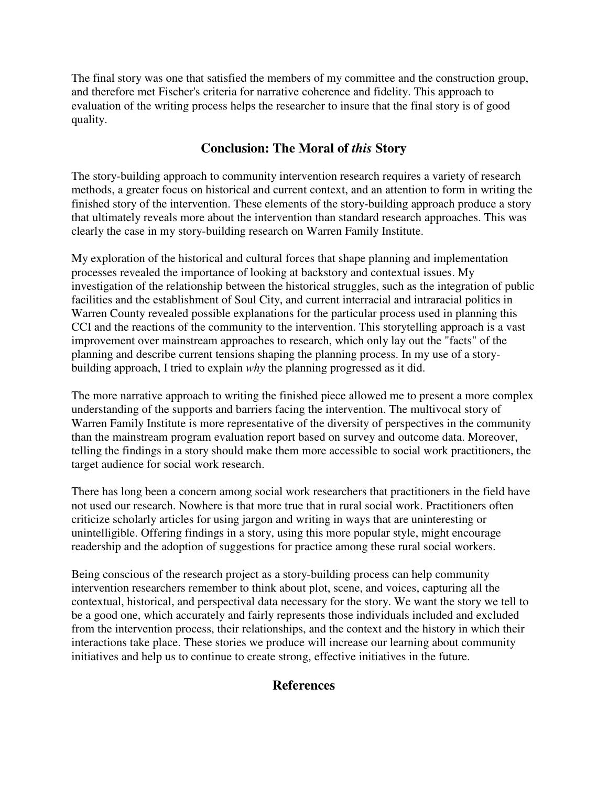The final story was one that satisfied the members of my committee and the construction group, and therefore met Fischer's criteria for narrative coherence and fidelity. This approach to evaluation of the writing process helps the researcher to insure that the final story is of good quality.

#### **Conclusion: The Moral of** *this* **Story**

The story-building approach to community intervention research requires a variety of research methods, a greater focus on historical and current context, and an attention to form in writing the finished story of the intervention. These elements of the story-building approach produce a story that ultimately reveals more about the intervention than standard research approaches. This was clearly the case in my story-building research on Warren Family Institute.

My exploration of the historical and cultural forces that shape planning and implementation processes revealed the importance of looking at backstory and contextual issues. My investigation of the relationship between the historical struggles, such as the integration of public facilities and the establishment of Soul City, and current interracial and intraracial politics in Warren County revealed possible explanations for the particular process used in planning this CCI and the reactions of the community to the intervention. This storytelling approach is a vast improvement over mainstream approaches to research, which only lay out the "facts" of the planning and describe current tensions shaping the planning process. In my use of a storybuilding approach, I tried to explain *why* the planning progressed as it did.

The more narrative approach to writing the finished piece allowed me to present a more complex understanding of the supports and barriers facing the intervention. The multivocal story of Warren Family Institute is more representative of the diversity of perspectives in the community than the mainstream program evaluation report based on survey and outcome data. Moreover, telling the findings in a story should make them more accessible to social work practitioners, the target audience for social work research.

There has long been a concern among social work researchers that practitioners in the field have not used our research. Nowhere is that more true that in rural social work. Practitioners often criticize scholarly articles for using jargon and writing in ways that are uninteresting or unintelligible. Offering findings in a story, using this more popular style, might encourage readership and the adoption of suggestions for practice among these rural social workers.

Being conscious of the research project as a story-building process can help community intervention researchers remember to think about plot, scene, and voices, capturing all the contextual, historical, and perspectival data necessary for the story. We want the story we tell to be a good one, which accurately and fairly represents those individuals included and excluded from the intervention process, their relationships, and the context and the history in which their interactions take place. These stories we produce will increase our learning about community initiatives and help us to continue to create strong, effective initiatives in the future.

#### **References**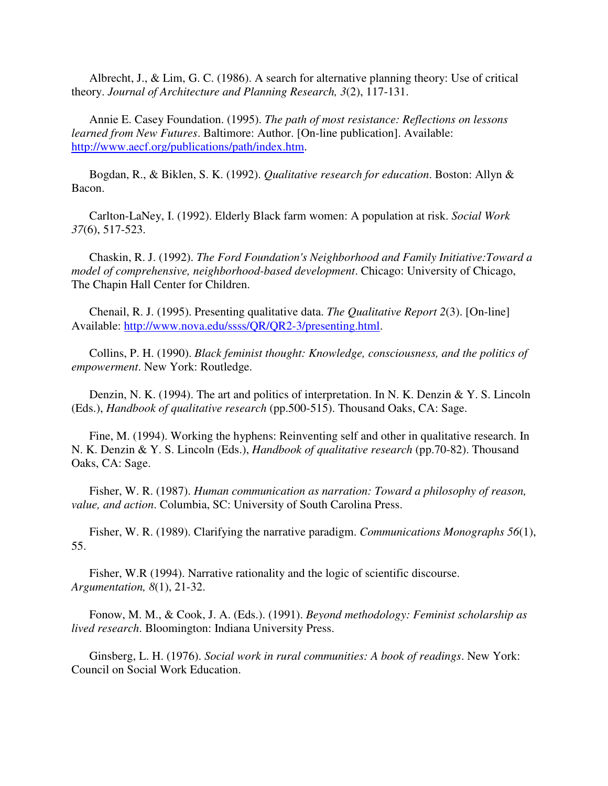Albrecht, J., & Lim, G. C. (1986). A search for alternative planning theory: Use of critical theory. *Journal of Architecture and Planning Research, 3*(2), 117-131.

 Annie E. Casey Foundation. (1995). *The path of most resistance: Reflections on lessons learned from New Futures*. Baltimore: Author. [On-line publication]. Available: http://www.aecf.org/publications/path/index.htm.

 Bogdan, R., & Biklen, S. K. (1992). *Qualitative research for education*. Boston: Allyn & Bacon.

 Carlton-LaNey, I. (1992). Elderly Black farm women: A population at risk. *Social Work 37*(6), 517-523.

 Chaskin, R. J. (1992). *The Ford Foundation's Neighborhood and Family Initiative:Toward a model of comprehensive, neighborhood-based development*. Chicago: University of Chicago, The Chapin Hall Center for Children.

 Chenail, R. J. (1995). Presenting qualitative data. *The Qualitative Report 2*(3). [On-line] Available: http://www.nova.edu/ssss/QR/QR2-3/presenting.html.

 Collins, P. H. (1990). *Black feminist thought: Knowledge, consciousness, and the politics of empowerment*. New York: Routledge.

Denzin, N. K. (1994). The art and politics of interpretation. In N. K. Denzin & Y. S. Lincoln (Eds.), *Handbook of qualitative research* (pp.500-515). Thousand Oaks, CA: Sage.

 Fine, M. (1994). Working the hyphens: Reinventing self and other in qualitative research. In N. K. Denzin & Y. S. Lincoln (Eds.), *Handbook of qualitative research* (pp.70-82). Thousand Oaks, CA: Sage.

 Fisher, W. R. (1987). *Human communication as narration: Toward a philosophy of reason, value, and action*. Columbia, SC: University of South Carolina Press.

 Fisher, W. R. (1989). Clarifying the narrative paradigm. *Communications Monographs 56*(1), 55.

 Fisher, W.R (1994). Narrative rationality and the logic of scientific discourse. *Argumentation, 8*(1), 21-32.

 Fonow, M. M., & Cook, J. A. (Eds.). (1991). *Beyond methodology: Feminist scholarship as lived research*. Bloomington: Indiana University Press.

 Ginsberg, L. H. (1976). *Social work in rural communities: A book of readings*. New York: Council on Social Work Education.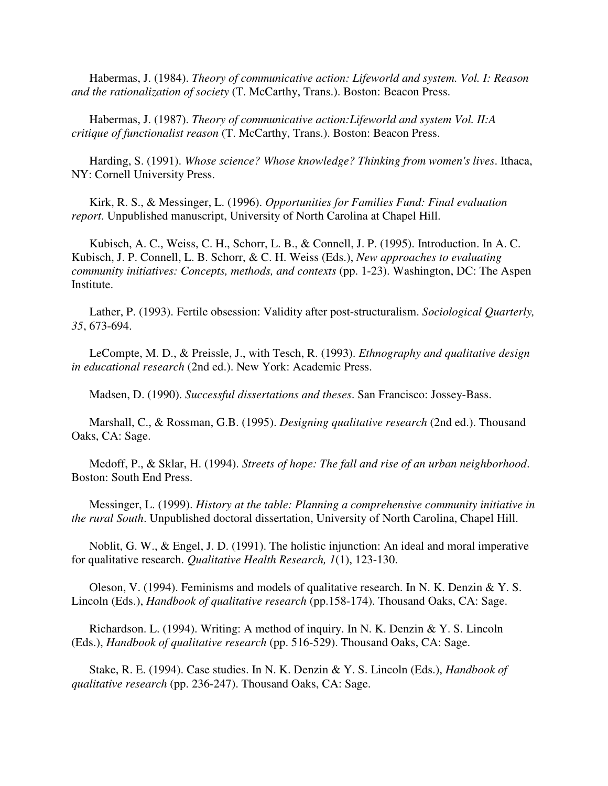Habermas, J. (1984). *Theory of communicative action: Lifeworld and system. Vol. I: Reason and the rationalization of society* (T. McCarthy, Trans.). Boston: Beacon Press.

 Habermas, J. (1987). *Theory of communicative action:Lifeworld and system Vol. II:A critique of functionalist reason* (T. McCarthy, Trans.). Boston: Beacon Press.

 Harding, S. (1991). *Whose science? Whose knowledge? Thinking from women's lives*. Ithaca, NY: Cornell University Press.

 Kirk, R. S., & Messinger, L. (1996). *Opportunities for Families Fund: Final evaluation report*. Unpublished manuscript, University of North Carolina at Chapel Hill.

 Kubisch, A. C., Weiss, C. H., Schorr, L. B., & Connell, J. P. (1995). Introduction. In A. C. Kubisch, J. P. Connell, L. B. Schorr, & C. H. Weiss (Eds.), *New approaches to evaluating community initiatives: Concepts, methods, and contexts* (pp. 1-23). Washington, DC: The Aspen Institute.

 Lather, P. (1993). Fertile obsession: Validity after post-structuralism. *Sociological Quarterly, 35*, 673-694.

 LeCompte, M. D., & Preissle, J., with Tesch, R. (1993). *Ethnography and qualitative design in educational research* (2nd ed.). New York: Academic Press.

Madsen, D. (1990). *Successful dissertations and theses*. San Francisco: Jossey-Bass.

 Marshall, C., & Rossman, G.B. (1995). *Designing qualitative research* (2nd ed.). Thousand Oaks, CA: Sage.

 Medoff, P., & Sklar, H. (1994). *Streets of hope: The fall and rise of an urban neighborhood*. Boston: South End Press.

 Messinger, L. (1999). *History at the table: Planning a comprehensive community initiative in the rural South*. Unpublished doctoral dissertation, University of North Carolina, Chapel Hill.

 Noblit, G. W., & Engel, J. D. (1991). The holistic injunction: An ideal and moral imperative for qualitative research. *Qualitative Health Research, 1*(1), 123-130.

Oleson, V. (1994). Feminisms and models of qualitative research. In N. K. Denzin & Y. S. Lincoln (Eds.), *Handbook of qualitative research* (pp.158-174). Thousand Oaks, CA: Sage.

 Richardson. L. (1994). Writing: A method of inquiry. In N. K. Denzin & Y. S. Lincoln (Eds.), *Handbook of qualitative research* (pp. 516-529). Thousand Oaks, CA: Sage.

 Stake, R. E. (1994). Case studies. In N. K. Denzin & Y. S. Lincoln (Eds.), *Handbook of qualitative research* (pp. 236-247). Thousand Oaks, CA: Sage.